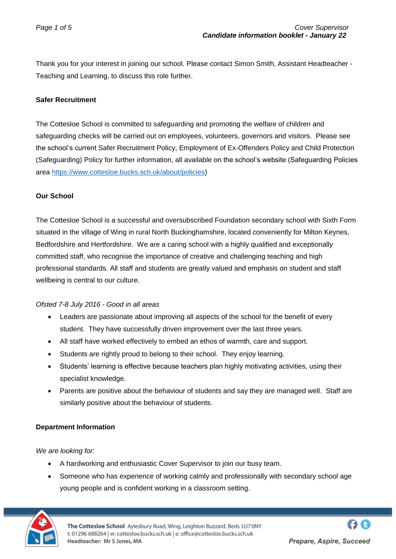Thank you for your interest in joining our school. Please contact Simon Smith, Assistant Headteacher - Teaching and Learning, to discuss this role further.

# **Safer Recruitment**

The Cottesloe School is committed to safeguarding and promoting the welfare of children and safeguarding checks will be carried out on employees, volunteers, governors and visitors. Please see the school's current Safer Recruitment Policy, Employment of Ex-Offenders Policy and Child Protection (Safeguarding) Policy for further information, all available on the school's website (Safeguarding Policies area [https://www.cottesloe.bucks.sch.uk/about/policies\)](https://www.cottesloe.bucks.sch.uk/about/policies)

# **Our School**

The Cottesloe School is a successful and oversubscribed Foundation secondary school with Sixth Form situated in the village of Wing in rural North Buckinghamshire, located conveniently for Milton Keynes, Bedfordshire and Hertfordshire. We are a caring school with a highly qualified and exceptionally committed staff, who recognise the importance of creative and challenging teaching and high professional standards. All staff and students are greatly valued and emphasis on student and staff wellbeing is central to our culture.

# *Ofsted 7-8 July 2016 - Good in all areas*

- Leaders are passionate about improving all aspects of the school for the benefit of every student. They have successfully driven improvement over the last three years.
- All staff have worked effectively to embed an ethos of warmth, care and support.
- Students are rightly proud to belong to their school. They enjoy learning.
- Students' learning is effective because teachers plan highly motivating activities, using their specialist knowledge.
- Parents are positive about the behaviour of students and say they are managed well. Staff are similarly positive about the behaviour of students.

# **Department Information**

# *We are looking for:*

- A hardworking and enthusiastic Cover Supervisor to join our busy team.
- Someone who has experience of working calmly and professionally with secondary school age young people and is confident working in a classroom setting.

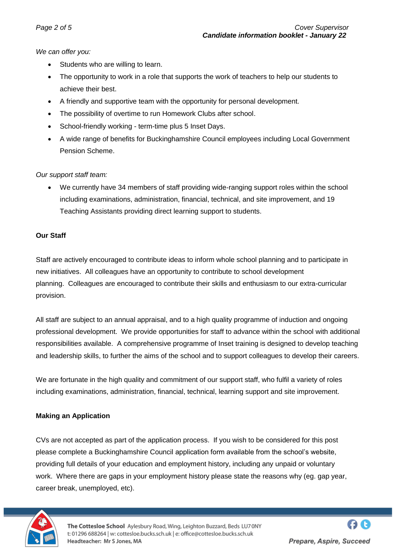*We can offer you:*

- Students who are willing to learn.
- The opportunity to work in a role that supports the work of teachers to help our students to achieve their best.
- A friendly and supportive team with the opportunity for personal development.
- The possibility of overtime to run Homework Clubs after school.
- School-friendly working term-time plus 5 Inset Days.
- A wide range of benefits for Buckinghamshire Council employees including Local Government Pension Scheme.

# *Our support staff team:*

 We currently have 34 members of staff providing wide-ranging support roles within the school including examinations, administration, financial, technical, and site improvement, and 19 Teaching Assistants providing direct learning support to students.

### **Our Staff**

Staff are actively encouraged to contribute ideas to inform whole school planning and to participate in new initiatives. All colleagues have an opportunity to contribute to school development planning. Colleagues are encouraged to contribute their skills and enthusiasm to our extra-curricular provision.

All staff are subject to an annual appraisal, and to a high quality programme of induction and ongoing professional development. We provide opportunities for staff to advance within the school with additional responsibilities available. A comprehensive programme of Inset training is designed to develop teaching and leadership skills, to further the aims of the school and to support colleagues to develop their careers.

We are fortunate in the high quality and commitment of our support staff, who fulfil a variety of roles including examinations, administration, financial, technical, learning support and site improvement.

# **Making an Application**

CVs are not accepted as part of the application process. If you wish to be considered for this post please complete a Buckinghamshire Council application form available from the school's website, providing full details of your education and employment history, including any unpaid or voluntary work. Where there are gaps in your employment history please state the reasons why (eg. gap year, career break, unemployed, etc).

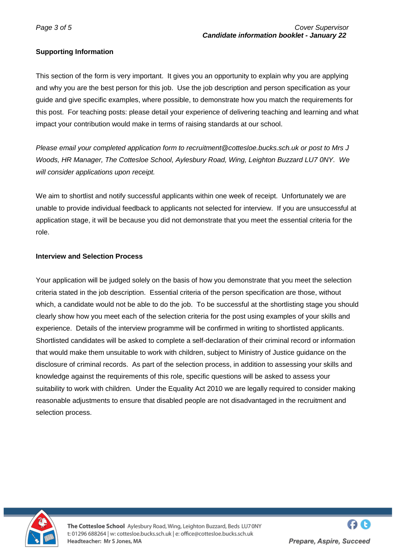# **Supporting Information**

This section of the form is very important. It gives you an opportunity to explain why you are applying and why you are the best person for this job. Use the job description and person specification as your guide and give specific examples, where possible, to demonstrate how you match the requirements for this post. For teaching posts: please detail your experience of delivering teaching and learning and what impact your contribution would make in terms of raising standards at our school.

*Please email your completed application form to recruitment@cottesloe.bucks.sch.uk or post to Mrs J Woods, HR Manager, The Cottesloe School, Aylesbury Road, Wing, Leighton Buzzard LU7 0NY. We will consider applications upon receipt.*

We aim to shortlist and notify successful applicants within one week of receipt. Unfortunately we are unable to provide individual feedback to applicants not selected for interview. If you are unsuccessful at application stage, it will be because you did not demonstrate that you meet the essential criteria for the role.

### **Interview and Selection Process**

Your application will be judged solely on the basis of how you demonstrate that you meet the selection criteria stated in the job description. Essential criteria of the person specification are those, without which, a candidate would not be able to do the job. To be successful at the shortlisting stage you should clearly show how you meet each of the selection criteria for the post using examples of your skills and experience. Details of the interview programme will be confirmed in writing to shortlisted applicants. Shortlisted candidates will be asked to complete a self-declaration of their criminal record or information that would make them unsuitable to work with children, subject to Ministry of Justice guidance on the disclosure of criminal records. As part of the selection process, in addition to assessing your skills and knowledge against the requirements of this role, specific questions will be asked to assess your suitability to work with children. Under the Equality Act 2010 we are legally required to consider making reasonable adjustments to ensure that disabled people are not disadvantaged in the recruitment and selection process.



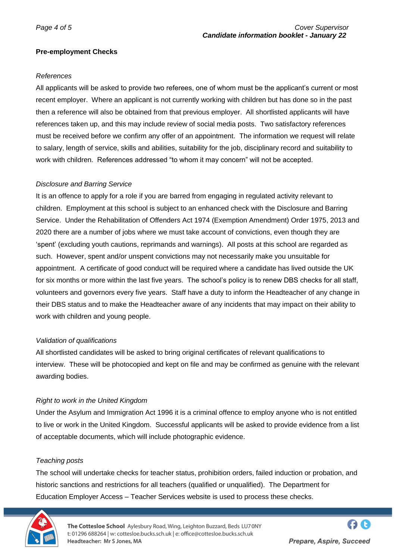# **Pre-employment Checks**

## *References*

All applicants will be asked to provide two referees, one of whom must be the applicant's current or most recent employer. Where an applicant is not currently working with children but has done so in the past then a reference will also be obtained from that previous employer. All shortlisted applicants will have references taken up, and this may include review of social media posts. Two satisfactory references must be received before we confirm any offer of an appointment. The information we request will relate to salary, length of service, skills and abilities, suitability for the job, disciplinary record and suitability to work with children. References addressed "to whom it may concern" will not be accepted.

### *Disclosure and Barring Service*

It is an offence to apply for a role if you are barred from engaging in regulated activity relevant to children. Employment at this school is subject to an enhanced check with the Disclosure and Barring Service. Under the Rehabilitation of Offenders Act 1974 (Exemption Amendment) Order 1975, 2013 and 2020 there are a number of jobs where we must take account of convictions, even though they are 'spent' (excluding youth cautions, reprimands and warnings). All posts at this school are regarded as such. However, spent and/or unspent convictions may not necessarily make you unsuitable for appointment. A certificate of good conduct will be required where a candidate has lived outside the UK for six months or more within the last five years. The school's policy is to renew DBS checks for all staff, volunteers and governors every five years. Staff have a duty to inform the Headteacher of any change in their DBS status and to make the Headteacher aware of any incidents that may impact on their ability to work with children and young people.

#### *Validation of qualifications*

All shortlisted candidates will be asked to bring original certificates of relevant qualifications to interview. These will be photocopied and kept on file and may be confirmed as genuine with the relevant awarding bodies.

# *Right to work in the United Kingdom*

Under the Asylum and Immigration Act 1996 it is a criminal offence to employ anyone who is not entitled to live or work in the United Kingdom. Successful applicants will be asked to provide evidence from a list of acceptable documents, which will include photographic evidence.

#### *Teaching posts*

The school will undertake checks for teacher status, prohibition orders, failed induction or probation, and historic sanctions and restrictions for all teachers (qualified or unqualified). The Department for Education Employer Access – Teacher Services website is used to process these checks.